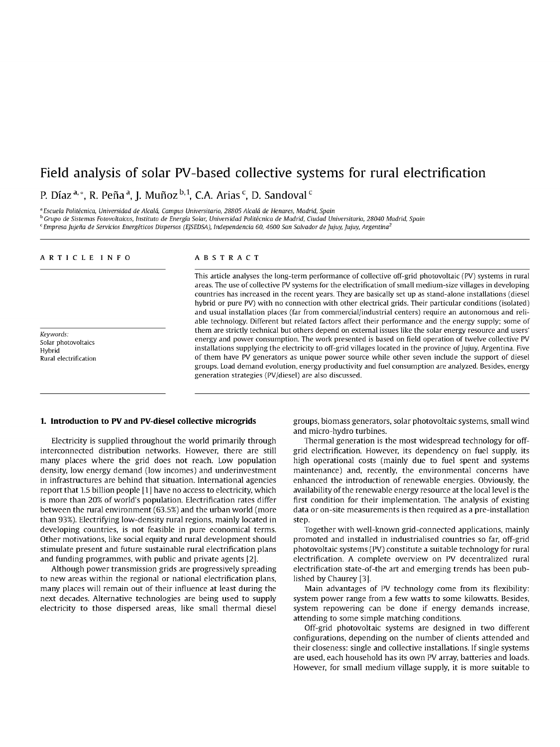# Field analysis of solar PV-based collective systems for rural electrification

# P. Díaz <sup>a, »</sup>, R. Peña <sup>a</sup>, J. Muñoz <sup>b, 1</sup>, C.A. Arias <sup>c</sup>, D. Sandoval <sup>c</sup>

*s Escuela Politécnica, Universidad de Alcalá, Campus Universitario, 28805 Alcalá de Henares, Madrid, Spain b Grupo de Sistemas Fotovoltaicos, Instituto de Energía Solar, Universidad Politécnica de Madrid, Ciudad Universitaria, 28040 Madrid, Spain*  c  *Empresa Jujeña de Servicios Energéticos Dispersos (EJSEDSA), Independencia 60, 4600 San Salvador dejujuy, Jujuy, Argentina<sup>2</sup>*

# ARTICLE INFO ABSTRACT

*Keywords:*  Solar photovoltaics Hybrid Rural electrification

This article analyses the long-term performance of collective off-grid photovoltaic (PV) systems in rural áreas. The use of collective PV systems for the electrification of small medium-size villages in developing countries has increased in the recent years. They are basically set up as stand-alone installations (diesel hybrid or puré PV) with no connection with other electrical grids. Their particular conditions (isolated) and usual installation places (far from commercial/industrial centers) require an autonomous and reliable technology. Different but related factors affect their performance and the energy supply; some of them are strictly technical but others depend on external issues like the solar energy resource and users' energy and power consumption. The work presented is based on field operation of twelve collective PV installations supplying the electricity to off-grid villages located in the province of Jujuy, Argentina. Five of them have PV generators as unique power source while other seven include the support of diesel groups. Load demand evolution, energy productivity and fuel consumption are analyzed. Besides, energy generation strategies (PV/diesel) are also discussed.

#### **1. Introduction to PV and PV-diesel collective microgrids**

Electricity is supplied throughout the world primarily through interconnected distribution networks. However, there are still many places where the grid does not reach. Low population density, low energy demand (low incomes) and underinvestment in infrastructures are behind that situation. International agencies report that 1.5 billion people [1 ] have no access to electricity, which is more than 20% of world's population. Electrification rates differ between the rural environment (63.5%) and the urban world (more than 93%). Electrifying low-density rural regions, mainly located in developing countries, is not feasible in puré economical terms. Other motivations, like social equity and rural development should stimulate present and future sustainable rural electrification plans and funding programmes, with public and private agents [2].

Although power transmission grids are progressively spreading to new areas within the regional or national electrification plans, many places will remain out of their influence at least during the next decades. Alternative technologies are being used to supply electricity to those dispersed areas, like small thermal diesel groups, biomass generators, solar photovoltaic systems, small wind and micro-hydro turbines.

Thermal generation is the most widespread technology for offgrid electrification. However, its dependency on fuel supply, its high operational costs (mainly due to fuel spent and systems maintenance) and, recently, the environmental concerns have enhanced the introduction of renewable energies. Obviously, the availability of the renewable energy resource at the local level is the first condition for their implementation. The analysis of existing data or on-site measurements is then required as a pre-installation step.

Together with well-known grid-connected applications, mainly promoted and installed in industrialised countries so far, off-grid photovoltaic systems (PV) constitute a suitable technology for rural electrification. A complete overview on PV decentralized rural electrification state-of-the art and emerging trends has been published by Chaurey [3].

Main advantages of PV technology come from its flexibility: system power range from a few watts to some kilowatts. Besides, system repowering can be done if energy demands increase, attending to some simple matching conditions.

Off-grid photovoltaic systems are designed in two different configurations, depending on the number of clients attended and their closeness: single and collective installations. If single systems are used, each household has its own PV array, batteries and loads. However, for small medium village supply, it is more suitable to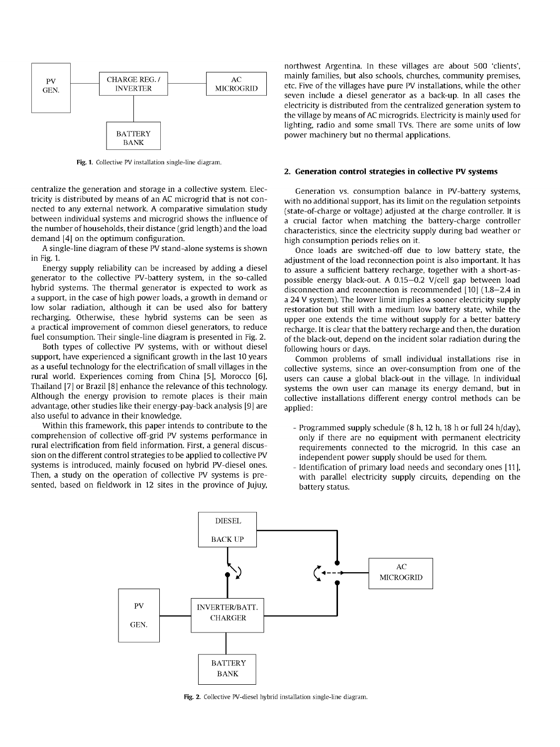

Fig. 1. Collective PV installation single-line diagram.

centralize the generation and storage in a collective system. Electricity is distributed by means of an AC microgrid that is not connected to any external network. A comparative simulation study between individual systems and microgrid shows the influence of the number of households, their distance (grid length) and the load demand [4] on the optimum configuration.

A single-line diagram of these PV stand-alone systems is shown in Fig. 1.

Energy supply reliability can be increased by adding a diesel generator to the collective PV-battery system, in the so-called hybrid systems. The thermal generator is expected to work as a support, in the case of high power loads, a growth in demand or low solar radiation, although it can be used also for battery recharging. Otherwise, these hybrid systems can be seen as a practical improvement of common diesel generators, to reduce fuel consumption. Their single-line diagram is presented in Fig. 2.

Both types of collective PV systems, with or without diesel support, have experienced a significant growth in the last 10 years as a useful technology for the electrification of small villages in the rural world. Experiences coming from China [5], Morocco [6], Thailand [7] or Brazil [8] enhance the relevance of this technology. Although the energy provision to remote places is their main advantage, other studies like their energy-pay-back analysis [9] are also useful to advance in their knowledge.

Within this framework, this paper intends to contribute to the comprehension of collective off-grid PV systems performance in rural electrification from field information. First, a general discussion on the different control strategies to be applied to collective PV systems is introduced, mainly focused on hybrid PV-diesel ones. Then, a study on the operation of collective PV systems is presented, based on fieldwork in 12 sites in the province of Jujuy, northwest Argentina. In these villages are about 500 'clients', mainly families, but also schools, churches, community premises, etc. Five of the villages have puré PV installations, while the other seven include a diesel generator as a back-up. In all cases the electricity is distributed from the centralized generation system to the village by means of AC microgrids. Electricity is mainly used for lighting, radio and some small TVs. There are some units of low power machinery but no thermal applications.

# **2. Generation control strategies in collective PV systems**

Generation vs. consumption balance in PV-battery systems, with no additional support, has its limit on the regulation setpoints (state-of-charge or voltage) adjusted at the charge controller. It is a crucial factor when matching the battery-charge controller characteristics, since the electricity supply during bad weather or high consumption periods relies on it.

Once loads are switched-off due to low battery state, the adjustment of the load reconnection point is also important. It has to assure a sufficient battery recharge, together with a short-aspossible energy black-out. A 0.15—0.2 V/cell gap between load disconnection and reconnection is recommended [10] (1.8—2.4 in a 24 V system). The lower limit implies a sooner electricity supply restoration but still with a medium low battery state, while the upper one extends the time without supply for a better battery recharge. It is clear that the battery recharge and then, the duration of the black-out, depend on the incident solar radiation during the following hours or days.

Common problems of small individual installations rise in collective systems, since an over-consumption from one of the users can cause a global black-out in the village. In individual systems the own user can manage its energy demand, but in collective installations different energy control methods can be applied:

- Programmed supply schedule (8 h, 12 h, 18 h or full 24 h/day), only if there are no equipment with permanent electricity requirements connected to the microgrid. In this case an independent power supply should be used for them.
- Identification of primary load needs and secondary ones [11], with parallel electricity supply circuits, depending on the battery status.



Fig. 2. Collective PV-diesel hybrid installation single-line diagram.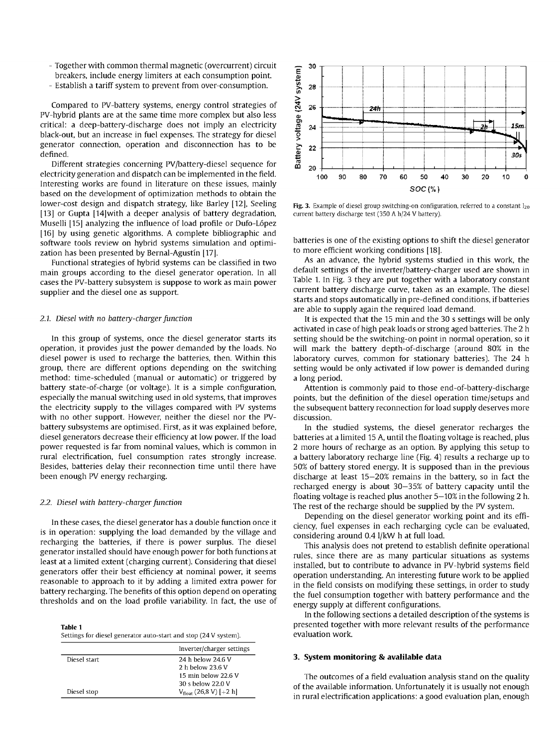- Together with common thermal magnetic (overcurrent) circuit breakers, include energy limiters at each consumption point.
- Establish a tariff system to prevent from over-consumption.

Compared to PV-battery systems, energy control strategies of PV-hybrid plants are at the same time more complex but also less critical: a deep-battery-discharge does not imply an electricity black-out, but an increase in fuel expenses. The strategy for diesel generator connection, operation and disconnection has to be defined.

Different strategies concerning PV/battery-diesel sequence for electricity generation and dispatch can be implemented in the field. Interesting works are found in literature on these issues, mainly based on the development of optimization methods to obtain the lower-cost design and dispatch strategy, like Barley [12], Seeling [13] or Gupta [14] with a deeper analysis of battery degradation, Muselli [15] analyzing the influence of load profile or Dufo-López [16] by using genetic algorithms. A complete bibliographic and software tools review on hybrid systems simulation and optimization has been presented by Bernal-Agustín [17].

Functional strategies of hybrid systems can be classified in two main groups according to the diesel generator operation. In all cases the PV-battery subsystem is suppose to work as main power supplier and the diesel one as support.

### 2.2. *Diesel with no battery•-charger function*

In this group of systems, once the diesel generator starts its operation, it provides just the power demanded by the loads. No diesel power is used to recharge the batteries, then. Within this group, there are different options depending on the switching method: time-scheduled (manual or automatic) or triggered by battery state-of-charge (or voltage). It is a simple configuration, especially the manual switching used in old systems, that improves the electricity supply to the villages compared with PV systems with no other support. However, neither the diesel nor the PVbattery subsystems are optimised. First, as it was explained before, diesel generators decrease their efficiency at low power. If the load power requested is far from nominal values, which is common in rural electrification, fuel consumption rates strongly increase. Besides, batteries delay their reconnection time until there have been enough PV energy recharging.

### *2.2. Diesel with battery-charger function*

In these cases, the diesel generator has a double function once it is in operation: supplying the load demanded by the village and recharging the batteries, if there is power surplus. The diesel generator installed should have enough power for both functions at least at a limited extent (charging current). Considering that diesel generators offer their best efficiency at nominal power, it seems reasonable to approach to it by adding a limited extra power for battery recharging. The benefits of this option depend on operating thresholds and on the load profile variability. In fact, the use of

**Table 1**  Settings for diesel generator auto-start and stop (24 V system).

|              | Inverter/charger settings                 |
|--------------|-------------------------------------------|
| Diesel start | 24 h below 24.6 V                         |
|              | 2 h below 23.6 V                          |
|              | 15 min below 22.6 V                       |
|              | 30 s below 22.0 V                         |
| Diesel stop  | $V_{\text{float}}(26.8 \text{ V})$ [+2 h] |



Fig. 3. Example of diesel group switching-on configuration, referred to a constant  $I_{20}$ current battery discharge test (350 A h/24 V battery).

batteries is one of the existing options to shift the diesel generator to more efficient working conditions [18].

As an advance, the hybrid systems studied in this work, the default settings of the inverter/battery-charger used are shown in Table 1. In Fig. 3 they are put together with a laboratory constant current battery discharge curve, taken as an example. The diesel starts and stops automatically in pre-defined conditions, if batteries are able to supply again the required load demand.

It is expected that the 15 min and the 30 s settings will be only activated in case of high peak loads or strong aged batteries. The 2 h setting should be the switching-on point in normal operation, so it will mark the battery depth-of-discharge (around 80% in the laboratory curves, common for stationary batteries). The 24 h setting would be only activated if low power is demanded during a long period.

Attention is commonly paid to those end-of-battery-discharge points, but the definition of the diesel operation time/setups and the subsequent battery reconnection for load supply deserves more discussion.

In the studied systems, the diesel generator recharges the batteries at a limited 15 A, until the floating voltage is reached, plus 2 more hours of recharge as an option. By applying this setup to a battery laboratory recharge line (Fig. 4) results a recharge up to 50% of battery stored energy. It is supposed than in the previous discharge at least 15—20% remains in the battery, so in fact the recharged energy is about 30—35% of battery capacity until the floating voltage is reached plus another 5—10% in the following 2 h. The rest of the recharge should be supplied by the PV system.

Depending on the diesel generator working point and its efficiency, fuel expenses in each recharging cycle can be evaluated, considering around 0.4 1/kW h at full load.

This analysis does not pretend to establish definite operational rules, since there are as many particular situations as systems installed, but to contribute to advance in PV-hybrid systems field operation understanding. An interesting future work to be applied in the field consists on modifying these settings, in order to study the fuel consumption together with battery performance and the energy supply at different configurations.

In the following sections a detailed description of the systems is presented together with more relevant results of the performance evaluation work.

# **3. System monitoring & avalilable data**

The outcomes of a field evaluation analysis stand on the quality of the available information. Unfortunately it is usually not enough in rural electrification applications: a good evaluation plan, enough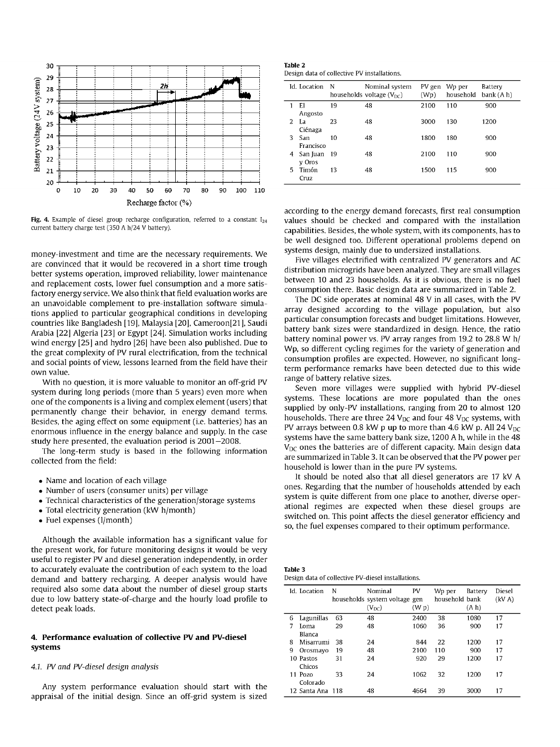

**Fig. 4.** Example of diesel group recharge configuration, referred to a constant  $I_{24}$ current battery charge test (350 A h/24 V battery).

money-investment and time are the necessary requirements. We are convinced that it would be recovered in a short time trough better systems operation, improved reliability, lower maintenance and replacement costs, lower fuel consumption and a more satisfactory energy service. We also think that field evaluation works are an unavoidable complement to pre-installation software simulations applied to particular geographical conditions in developing countries like Bangladesh [19], Malaysia [20], Cameroon[21], Saudi Arabia [22] Algeria [23] or Egypt [24]. Simulation works including wind energy [25] and hydro [26] have been also published. Due to the great complexity of PV rural electrification, from the technical and social points of view, lessons learned from the field have their own valué.

With no question, it is more valuable to monitor an off-grid PV system during long periods (more than 5 years) even more when one of the components is a living and complex element (users) that permanently change their behavior, in energy demand terms. Besides, the aging effect on some equipment (i.e. batteries) has an enormous influence in the energy balance and supply. In the case study here presented, the evaluation period is 2001—2008.

The long-term study is based in the following information collected from the field:

- Name and location of each village
- Number of users (consumer units) per village
- Technical characteristics of the generation/storage systems
- Total electricity generation (kW h/month)
- Fuel expenses (1/month)

Although the available information has a significant valué for the present work, for future monitoring designs it would be very useful to register PV and diesel generation independently, in order to accurately evaluate the contribution of each system to the load demand and battery recharging. A deeper analysis would have required also some data about the number of diesel group starts due to low battery state-of-charge and the hourly load profile to detect peak loads.

# **4. Performance evaluation of collective PV and PV-diesel systems**

# *4.1. PV and PV-diesel design analysis*

Any system performance evaluation should start with the appraisal of the initial design. Since an off-grid system is sized

| Table 2                                     |  |
|---------------------------------------------|--|
| Design data of collective PV installations. |  |

|               | Id. Location       | N   | Nominal system<br>households voltage $(V_{DC})$ | PV gen<br>(Wp) | Wp per<br>household | Battery<br>bank $(A h)$ |
|---------------|--------------------|-----|-------------------------------------------------|----------------|---------------------|-------------------------|
|               | El<br>Angosto      | 19  | 48                                              | 2100           | 110                 | 900                     |
| $\mathcal{L}$ | La<br>Ciénaga      | 23  | 48                                              | 3000           | 130                 | 1200                    |
| 3             | San<br>Francisco   | 10  | 48                                              | 1800           | 180                 | 900                     |
| 4             | San Juan<br>v Oros | -19 | 48                                              | 2100           | 110                 | 900                     |
| 5             | Timón<br>Cruz      | 13  | 48                                              | 1500           | 115                 | 900                     |

according to the energy demand forecasts, first real consumption values should be checked and compared with the installation capabilities. Besides, the whole system, with its components, has to be well designed too. Different operational problems depend on systems design, mainly due to undersized installations.

Five villages electrified with centralized PV generators and AC distribution microgrids have been analyzed. They are small villages between 10 and 23 households. As it is obvious, there is no fuel consumption there. Basic design data are summarized in Table 2.

The DC side operates at nominal 48 V in all cases, with the PV array designed according to the village population, but also particular consumption forecasts and budget limitations. However, battery bank sizes were standardized in design. Hence, the ratio battery nominal power vs. PV array ranges from 19.2 to 28.8 W h/ Wp, so different cycling regimes for the variety of generation and consumption profiles are expected. However, no significant longterm performance remarks have been detected due to this wide range of battery relative sizes.

Seven more villages were supplied with hybrid PV-diesel systems. These locations are more populated than the ones supplied by only-PV installations, ranging from 20 to almost 120 households. There are three 24  $V_{DC}$  and four 48  $V_{DC}$  systems, with PV arrays between 0.8 kW p up to more than 4.6 kW p. All 24  $V_{DC}$ systems have the same battery bank size, 1200 A h, while in the 48  $V_{\text{DC}}$  ones the batteries are of different capacity. Main design data are summarized in Table 3. It can be observed that the PV power per household is lower than in the puré PV systems.

It should be noted also that all diesel generators are 17 kV A ones. Regarding that the number of households attended by each system is quite different from one place to another, diverse operational regimes are expected when these diesel groups are switched on. This point affects the diesel generator efficiency and so, the fuel expenses compared to their optimum performance.

**Table 3**  Design data of collective PV-diesel installations.

|   | Id. Location     | N  | Nominal<br>households system voltage gen | PV    | Wp per<br>household bank | Battery | Diesel<br>(kV) |
|---|------------------|----|------------------------------------------|-------|--------------------------|---------|----------------|
|   |                  |    | $(V_{DC})$                               | (W p) |                          | (A h)   |                |
| 6 | Lagunillas       | 63 | 48                                       | 2400  | 38                       | 1080    | 17             |
|   | Loma             | 29 | 48                                       | 1060  | 36                       | 900     | 17             |
|   | Blanca           |    |                                          |       |                          |         |                |
| 8 | Misarrumi        | 38 | 24                                       | 844   | 22.                      | 1200    | 17             |
| 9 | Orosmayo         | 19 | 48                                       | 2100  | 110                      | 900     | 17             |
|   | 10 Pastos        | 31 | 24                                       | 920   | 29                       | 1200    | 17             |
|   | Chicos           |    |                                          |       |                          |         |                |
|   | 11 Pozo          | 33 | 24                                       | 1062  | 32                       | 1200    | 17             |
|   | Colorado         |    |                                          |       |                          |         |                |
|   | 12 Santa Ana-118 |    | 48                                       | 4664  | 39                       | 3000    | 17             |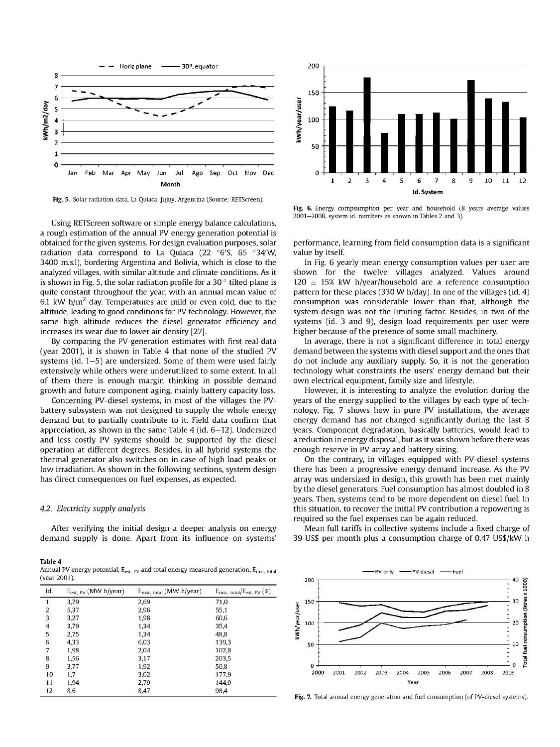

Fig. 5. Solar radiation data, La Quiaca, Jujuy, Argentina (Source: RETScreen).

Using RETScreen software or simple energy balance calculations, a rough estimation of the annual PV energy generation potential is obtained for the given systems. For design evaluation purposes, solar radiation data correspond to La Quiaca (22 °6'S, 65 °34'W, 3400 m.s.l), bordering Argentina and Bolivia, which is close to the analyzed villages, with similar altitude and climate conditions. As it is shown in Fig. 5, the solar radiation profile for a 30 $\degree$  tilted plane is quite constant throughout the year, with an annual mean value of  $6.1$  kW h/m<sup>2</sup> day. Temperatures are mild or even cold, due to the altitude, leading to good conditions for PV technology. However, the same high altitude reduces the diesel generator efficiency and increases its wear due to lower air density [27].

By comparing the PV generation estimates with first real data (year 2001), it is shown in Table 4 that none of the studied PV systems (id. 1—5) are undersized. Some of them were used fairly extensively while others were underutilized to some extent. In all of them there is enough margin thinking in possible demand growth and future component aging, mainly battery capacity loss.

Concerning PV-diesel systems, in most of the villages the PVbattery subsystem was not designed to supply the whole energy demand but to partially contribute to it. Field data confirm that appreciation, as shown in the same Table 4 (id. 6—12). Undersized and less costly PV systems should be supported by the diesel operation at different degrees. Besides, in all hybrid systems the thermal generator also switches on in case of high load peaks or low irradiation. As shown in the following sections, system design has direct consequences on fuel expenses, as expected.

# *4.2. Electricity supply analysis*

After verifying the initial design a deeper analysis on energy demand supply is done. Apart from its influence on systems'

**Table 4** 

Annual PV energy potential,  $E_{est. PV}$  and total energy measured generation,  $E_{msr, total}$ (year 2001).

| Id. | $E_{est. PV}$ (MW h/year) | $E_{msr, total}$ (MW h/year) | $E_{msr. total}/E_{est. PV}$ (%) |
|-----|---------------------------|------------------------------|----------------------------------|
|     | 3,79                      | 2,69                         | 71,0                             |
| 2   | 5,37                      | 2,96                         | 55,1                             |
| 3   | 3,27                      | 1,98                         | 60,6                             |
| 4   | 3,79                      | 1,34                         | 35.4                             |
| 5   | 2,75                      | 1,34                         | 48,8                             |
| 6   | 4,33                      | 6,03                         | 139,3                            |
| 7   | 1,98                      | 2,04                         | 102,8                            |
| 8   | 1,56                      | 3,17                         | 203,5                            |
| 9   | 3,77                      | 1,92                         | 50,8                             |
| 10  | 1,7                       | 3,02                         | 177,9                            |
| 11  | 1,94                      | 2,79                         | 144,0                            |
| 12  | 8,6                       | 8,47                         | 98.4                             |



Fig. 6. Energy compsumption per year and household (8 years average values 2001—2008, system id. numbers as shown in Tables 2 and 3).

performance, learning from field consumption data is a significant valué by itself.

In Fig. 6 yearly mean energy consumption values per user are shown for the twelve villages analyzed. Values around  $120 \pm 15\%$  kW h/year/household are a reference consumption pattern for these places (330 W h/day). In one of the villages (id. 4) consumption was considerable lower than that, although the system design was not the limiting factor. Besides, in two of the systems (id. 3 and 9), design load requirements per user were higher because of the presence of some small machinery.

In average, there is not a significant difference in total energy demand between the systems with diesel support and the ones that do not include any auxiliary supply. So, it is not the generation technology what constraints the users' energy demand but their own electrical equipment, family size and lifestyle.

However, it is interesting to analyze the evolution during the years of the energy supplied to the villages by each type of technology. Fig. 7 shows how in puré PV installations, the average energy demand has not changed significantly during the last 8 years. Component degradation, basically batteries, would lead to a reduction in energy disposal, but as it was shown before there was enough reserve in PV array and battery sizing.

On the contrary, in villages equipped with PV-diesel systems there has been a progressive energy demand increase. As the PV array was undersized in design, this growth has been met mainly by the diesel generators. Fuel consumption has almost doubled in 8 years. Then, systems tend to be more dependent on diesel fuel. In this situation, to recover the initial PV contribution a repowering is required so the fuel expenses can be again reduced.

Mean full tariffs in collective systems include a fixed charge of 39 US\$ per month plus a consumption charge of 0.47 US\$/kW h



Fig. 7. Total annual energy generation and fuel consumption (of PV-diesel systems).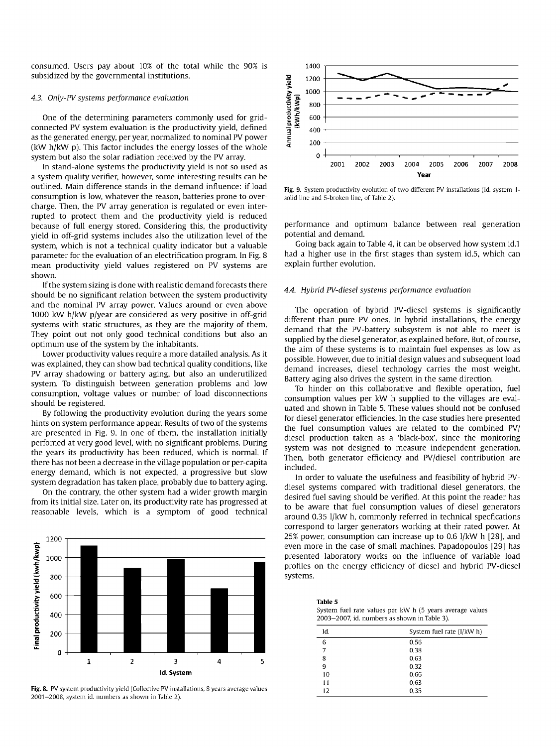consumed. Users pay about 10% of the total while the 90% is subsidized by the governmental institutions.

# *4.3. Only-PV systems performance evaluation*

One of the determining parameters commonly used for gridconnected PV system evaluation is the productivity yield, defined as the generated energy, per year, normalized to nominal PV power (kW h/kW p). This factor includes the energy losses of the whole system but also the solar radiation received by the PV array.

In stand-alone systems the productivity yield is not so used as a system quality verifier, however, some interesting results can be outlined. Main difference stands in the demand influence: if load consumption is low, whatever the reason, batteries prone to overcharge. Then, the PV array generation is regulated or even interrupted to protect them and the productivity yield is reduced because of full energy stored. Considering this, the productivity yield in off-grid systems includes also the utilization level of the system, which is not a technical quality indicator but a valuable parameter for the evaluation of an electrification program. In Fig. 8 mean productivity yield values registered on PV systems are shown.

If the system sizing is done with realistic demand forecasts there should be no significant relation between the system productivity and the nominal PV array power. Values around or even above 1000 kW h/kW p/year are considered as very positive in off-grid systems with static structures, as they are the majority of them. They point out not only good technical conditions but also an optimum use of the system by the inhabitants.

Lower productivity values require a more datailed analysis. As it was explained, they can show bad technical quality conditions, like PV array shadowing or battery aging, but also an underutilized system. To distinguish between generation problems and low consumption, voltage values or number of load disconnections should be registered.

By following the productivity evolution during the years some hints on system performance appear. Results of two of the systems are presented in Fig. 9. In one of them, the installation initially perfomed at very good level, with no significant problems. During the years its productivity has been reduced, which is normal. If there has not been a decrease in the village population or per-capita energy demand, which is not expected, a progressive but slow system degradation has taken place, probably due to battery aging.

On the contrary, the other system had a wider growth margin from its initial size. Later on, its productivity rate has progressed at reasonable levels, which is a symptom of good technical



Fig. 8. PV system productivity yield (Collective PV installations, 8 years average values 2001 —2008, system id. numbers as shown in Table 2).



**Fig.** 9. System productivity evolution of two different PV installations (id. system 1 solid line and 5-broken line, of Table 2).

performance and optimum balance between real generation potential and demand.

Going back again to Table 4, it can be observed how system id.l had a higher use in the first stages than system id.5, which can explain further evolution.

# *4.4. Hybrid PV-diesel systems performance evaluation*

The operation of hybrid PV-diesel systems is significantly different than puré PV ones. In hybrid installations, the energy demand that the PV-battery subsystem is not able to meet is supplied by the diesel generator, as explained before. But, of course, the aim of these systems is to maintain fuel expenses as low as possible. However, due to initial design values and subsequent load demand increases, diesel technology carries the most weight. Battery aging also drives the system in the same direction.

To hinder on this collaborative and flexible operation, fuel consumption values per kW h supplied to the villages are evaluated and shown in Table 5. These values should not be confused for diesel generator efficiencies. In the case studies here presented the fuel consumption values are related to the combined  $PV/$ diesel production taken as a 'black-box', since the monitoring system was not designed to measure independent generation. Then, both generator efficiency and PV/diesel contribution are included.

In order to valuate the usefulness and feasibility of hybrid PVdiesel systems compared with traditional diesel generators, the desired fuel saving should be verified. At this point the reader has to be aware that fuel consumption values of diesel generators around 0.35 1/kW h, commonly referred in technical specfications correspond to larger generators working at their rated power. At 25% power, consumption can increase up to 0.6 1/kW h [28], and even more in the case of small machines. Papadopoulos [29] has presented laboratory works on the influence of variable load profiles on the energy efficiency of diesel and hybrid PV-diesel systems.

| Table 5                                                  |  |  |
|----------------------------------------------------------|--|--|
| System fuel rate values per kW h (5 years average values |  |  |
| 2003–2007, id. numbers as shown in Table 3).             |  |  |

| Id. | System fuel rate (l/kW h) |
|-----|---------------------------|
| 6   | 0,56                      |
| 7   | 0,38                      |
| 8   | 0,63                      |
| 9   | 0,32                      |
| 10  | 0,66                      |
| 11  | 0,63                      |
| 12  | 0,35                      |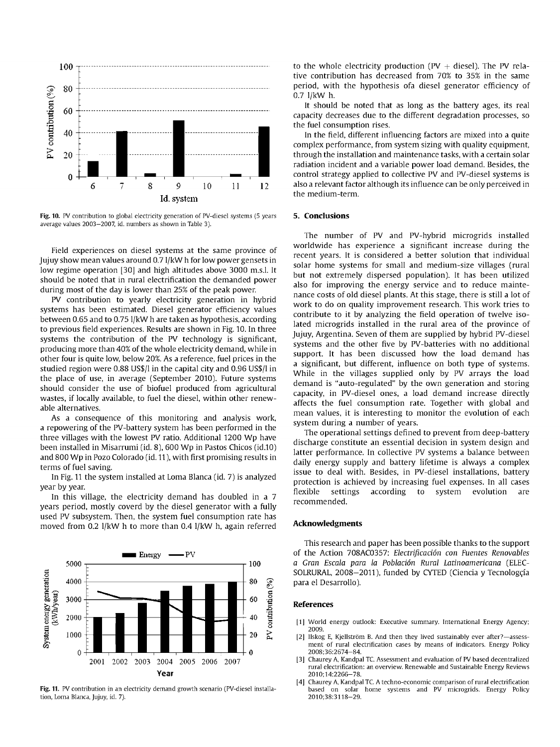

Fig. 10. PV contribution to global electricity generation of PV-diesel systems (5 years average values 2003-2007, id. numbers as shown in Table 3).

Field experiences on diesel systems at the same province of Jujuy show mean valúes around 0.7 1/kW h for low power gensets in low regime operation [30] and high altitudes above 3000 m.s.l. It should be noted that in rural electrification the demanded power during most of the day is lower than 25% of the peak power.

PV contribution to yearly electricity generation in hybrid systems has been estimated. Diesel generator efficiency values between 0.65 and to 0.75 1/kW h are taken as hypothesis, according to previous field experiences. Results are shown in Fig. 10. In three systems the contribution of the PV technology is significant, producing more than 40% of the whole electricity demand, while in other four is quite low, below 20%. As a reference, fuel prices in the studied region were 0.88 US\$/1 in the capital city and 0.96 US\$/1 in the place of use, in average (September 2010). Future systems should consider the use of biofuel produced from agricultural wastes, if locally available, to fuel the diesel, within other renewable alternatives.

As a consequence of this monitoring and analysis work, a repowering of the PV-battery system has been performed in the three villages with the lowest PV ratio. Additional 1200 Wp have been installed in Misarrumi (id. 8), 600 Wp in Pastos Chicos (id.10) and 800 Wp in Pozo Colorado (id. 11), with first promising results in terms of fuel saving.

In Fig. 11 the system installed at Loma Blanca (id. 7) is analyzed year by year.

In this village, the electricity demand has doubled in a 7 years period, mostly coverd by the diesel generator with a fully used PV subsystem. Then, the system fuel consumption rate has moved from 0.2 1/kW h to more than 0.4 1/kW h, again referred



Fig. 11. PV contribution in an electricity demand growth scenario (PV-diesel installation, Loma Blanca, Jujuy, id. 7).

to the whole electricity production (PV  $+$  diesel). The PV relative contribution has decreased from 70% to 35% in the same period, with the hypothesis ofa diesel generator efficiency of 0.7 1/kW h.

It should be noted that as long as the battery ages, its real capacity decreases due to the different degradation processes, so the fuel consumption rises.

In the field, different influencing factors are mixed into a quite complex performance, from system sizing with quality equipment, through the installation and maintenance tasks, with a certain solar radiation incident and a variable power load demand. Besides, the control strategy applied to collective PV and PV-diesel systems is also a relevant factor although its influence can be only perceived in the medium-term.

# **5. Conclusions**

The number of PV and PV-hybrid microgrids installed worldwide has experience a significant increase during the recent years. It is considered a better solution that individual solar home systems for small and medium-size villages (rural but not extremely dispersed population). It has been utilized also for improving the energy service and to reduce maintenance costs of oíd diesel plants. At this stage, there is still a lot of work to do on quality improvement research. This work tries to contribute to it by analyzing the field operation of twelve isolated microgrids installed in the rural area of the province of Jujuy, Argentina. Seven of them are supplied by hybrid PV-diesel systems and the other five by PV-batteries with no additional support. It has been discussed how the load demand has a significant, but different, influence on both type of systems. While in the villages supplied only by PV arrays the load demand is "auto-regulated" by the own generation and storing capacity, in PV-diesel ones, a load demand increase directly affects the fuel consumption rate. Together with global and mean values, it is interesting to monitor the evolution of each system during a number of years.

The operational settings defined to prevent from deep-battery discharge constitute an essential decision in system design and latter performance. In collective PV systems a balance between daily energy supply and battery lifetime is always a complex issue to deal with. Besides, in PV-diesel installations, battery protection is achieved by increasing fuel expenses. In all cases flexible settings according to system evolution are recommended.

# **Acknowledgments**

This research and paper has been possible thanks to the support of the Action 708AC0357: *Electrificarían con Fuentes Renovables a Gran Escala para la Población Rural Latinoamericana* (ELEC-SOLRURAL, 2008-2011), funded by CYTED (Ciencia y Tecnologçía para el Desarrollo).

# **References**

- [1] World energy outlook: Executive summary. International Energy Agency; 2009.
- [2] Ilskog E, Kjellstróm B. And then they lived sustainably ever after?—assessment of rural electrification cases by means of indicators. Energy Policy 2008;36:2674-84.
- [3] Chaurey A, Kandpal TC. Assessment and evaluation of PV based decentralized rural electrification: an overview. Renewable and Sustainable Energy Reviews 2010;14:2266-78.
- [4] Chaurey A, Kandpal TC. A techno-economic comparison of rural electrification based on solar home systems and PV microgrids. Energy Policy 2010;38:3118-29.